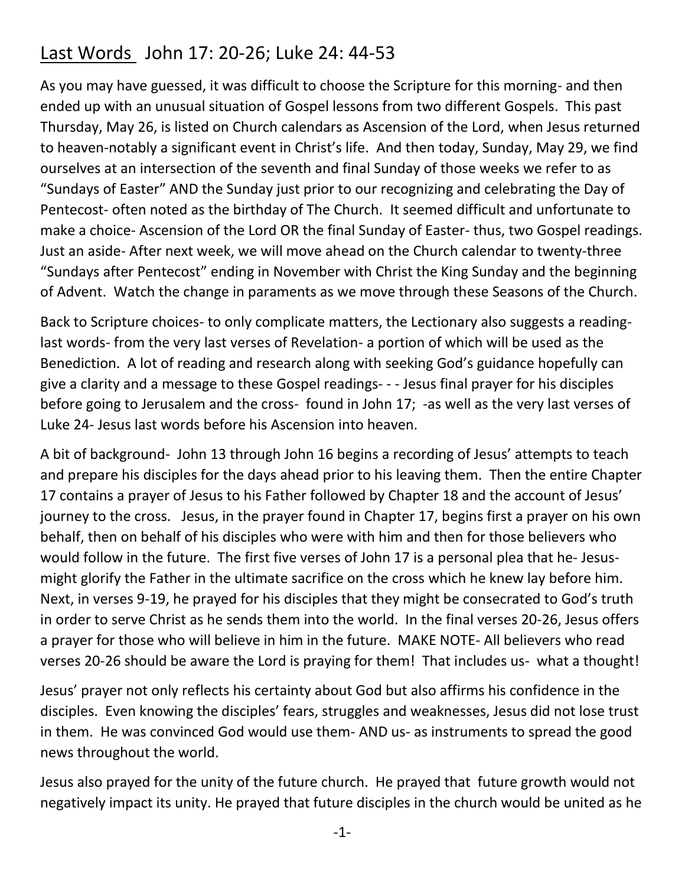## Last Words John 17: 20-26; Luke 24: 44-53

As you may have guessed, it was difficult to choose the Scripture for this morning- and then ended up with an unusual situation of Gospel lessons from two different Gospels. This past Thursday, May 26, is listed on Church calendars as Ascension of the Lord, when Jesus returned to heaven-notably a significant event in Christ's life. And then today, Sunday, May 29, we find ourselves at an intersection of the seventh and final Sunday of those weeks we refer to as "Sundays of Easter" AND the Sunday just prior to our recognizing and celebrating the Day of Pentecost- often noted as the birthday of The Church. It seemed difficult and unfortunate to make a choice- Ascension of the Lord OR the final Sunday of Easter- thus, two Gospel readings. Just an aside- After next week, we will move ahead on the Church calendar to twenty-three "Sundays after Pentecost" ending in November with Christ the King Sunday and the beginning of Advent. Watch the change in paraments as we move through these Seasons of the Church.

Back to Scripture choices- to only complicate matters, the Lectionary also suggests a readinglast words- from the very last verses of Revelation- a portion of which will be used as the Benediction. A lot of reading and research along with seeking God's guidance hopefully can give a clarity and a message to these Gospel readings- - - Jesus final prayer for his disciples before going to Jerusalem and the cross- found in John 17; -as well as the very last verses of Luke 24- Jesus last words before his Ascension into heaven.

A bit of background- John 13 through John 16 begins a recording of Jesus' attempts to teach and prepare his disciples for the days ahead prior to his leaving them. Then the entire Chapter 17 contains a prayer of Jesus to his Father followed by Chapter 18 and the account of Jesus' journey to the cross. Jesus, in the prayer found in Chapter 17, begins first a prayer on his own behalf, then on behalf of his disciples who were with him and then for those believers who would follow in the future. The first five verses of John 17 is a personal plea that he- Jesusmight glorify the Father in the ultimate sacrifice on the cross which he knew lay before him. Next, in verses 9-19, he prayed for his disciples that they might be consecrated to God's truth in order to serve Christ as he sends them into the world. In the final verses 20-26, Jesus offers a prayer for those who will believe in him in the future. MAKE NOTE- All believers who read verses 20-26 should be aware the Lord is praying for them! That includes us- what a thought!

Jesus' prayer not only reflects his certainty about God but also affirms his confidence in the disciples. Even knowing the disciples' fears, struggles and weaknesses, Jesus did not lose trust in them. He was convinced God would use them- AND us- as instruments to spread the good news throughout the world.

Jesus also prayed for the unity of the future church. He prayed that future growth would not negatively impact its unity. He prayed that future disciples in the church would be united as he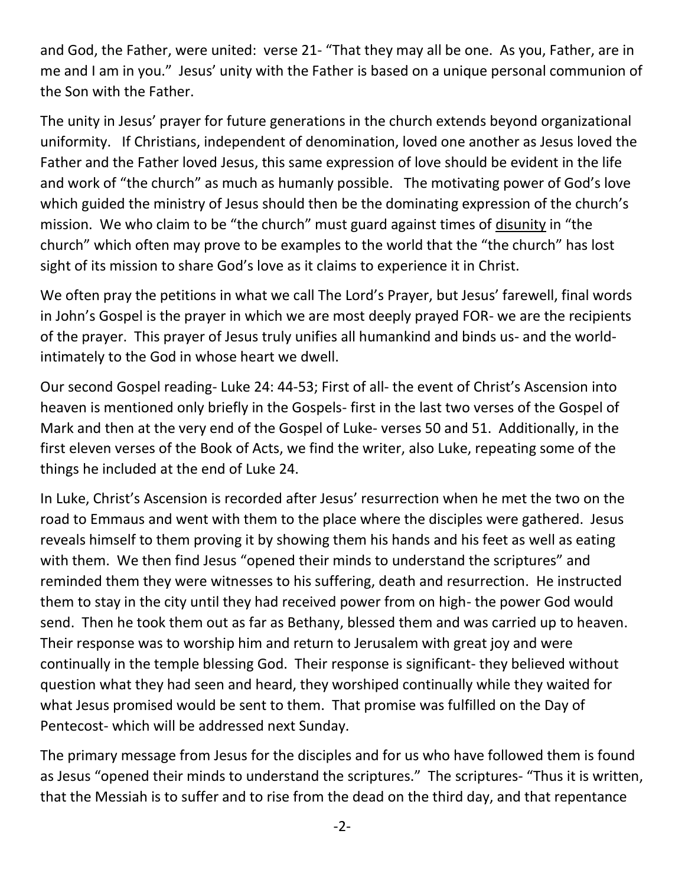and God, the Father, were united: verse 21- "That they may all be one. As you, Father, are in me and I am in you." Jesus' unity with the Father is based on a unique personal communion of the Son with the Father.

The unity in Jesus' prayer for future generations in the church extends beyond organizational uniformity. If Christians, independent of denomination, loved one another as Jesus loved the Father and the Father loved Jesus, this same expression of love should be evident in the life and work of "the church" as much as humanly possible. The motivating power of God's love which guided the ministry of Jesus should then be the dominating expression of the church's mission. We who claim to be "the church" must guard against times of disunity in "the church" which often may prove to be examples to the world that the "the church" has lost sight of its mission to share God's love as it claims to experience it in Christ.

We often pray the petitions in what we call The Lord's Prayer, but Jesus' farewell, final words in John's Gospel is the prayer in which we are most deeply prayed FOR- we are the recipients of the prayer. This prayer of Jesus truly unifies all humankind and binds us- and the worldintimately to the God in whose heart we dwell.

Our second Gospel reading- Luke 24: 44-53; First of all- the event of Christ's Ascension into heaven is mentioned only briefly in the Gospels- first in the last two verses of the Gospel of Mark and then at the very end of the Gospel of Luke- verses 50 and 51. Additionally, in the first eleven verses of the Book of Acts, we find the writer, also Luke, repeating some of the things he included at the end of Luke 24.

In Luke, Christ's Ascension is recorded after Jesus' resurrection when he met the two on the road to Emmaus and went with them to the place where the disciples were gathered. Jesus reveals himself to them proving it by showing them his hands and his feet as well as eating with them. We then find Jesus "opened their minds to understand the scriptures" and reminded them they were witnesses to his suffering, death and resurrection. He instructed them to stay in the city until they had received power from on high- the power God would send. Then he took them out as far as Bethany, blessed them and was carried up to heaven. Their response was to worship him and return to Jerusalem with great joy and were continually in the temple blessing God. Their response is significant- they believed without question what they had seen and heard, they worshiped continually while they waited for what Jesus promised would be sent to them. That promise was fulfilled on the Day of Pentecost- which will be addressed next Sunday.

The primary message from Jesus for the disciples and for us who have followed them is found as Jesus "opened their minds to understand the scriptures." The scriptures- "Thus it is written, that the Messiah is to suffer and to rise from the dead on the third day, and that repentance